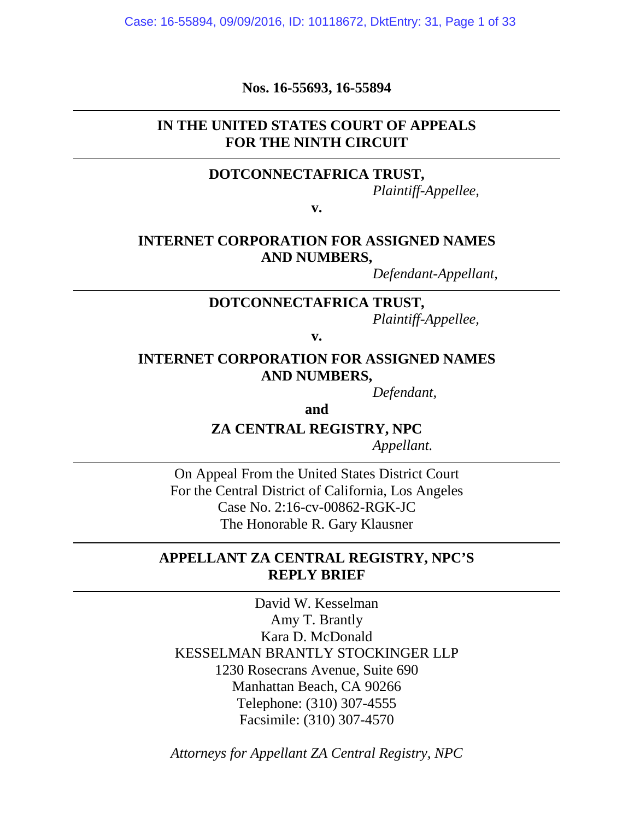Case: 16-55894, 09/09/2016, ID: 10118672, DktEntry: 31, Page 1 of 33

**Nos. 16-55693, 16-55894**

## **IN THE UNITED STATES COURT OF APPEALS FOR THE NINTH CIRCUIT**

#### **DOTCONNECTAFRICA TRUST,**

*Plaintiff-Appellee,*

**v.**

## **INTERNET CORPORATION FOR ASSIGNED NAMES AND NUMBERS,**

*Defendant-Appellant,*

#### **DOTCONNECTAFRICA TRUST,**

*Plaintiff-Appellee,*

**v.**

## **INTERNET CORPORATION FOR ASSIGNED NAMES AND NUMBERS,**

*Defendant,*

**and**

## **ZA CENTRAL REGISTRY, NPC**

*Appellant.*

On Appeal From the United States District Court For the Central District of California, Los Angeles Case No. 2:16-cv-00862-RGK-JC The Honorable R. Gary Klausner

## **APPELLANT ZA CENTRAL REGISTRY, NPC'S REPLY BRIEF**

David W. Kesselman Amy T. Brantly Kara D. McDonald KESSELMAN BRANTLY STOCKINGER LLP 1230 Rosecrans Avenue, Suite 690 Manhattan Beach, CA 90266 Telephone: (310) 307-4555 Facsimile: (310) 307-4570

*Attorneys for Appellant ZA Central Registry, NPC*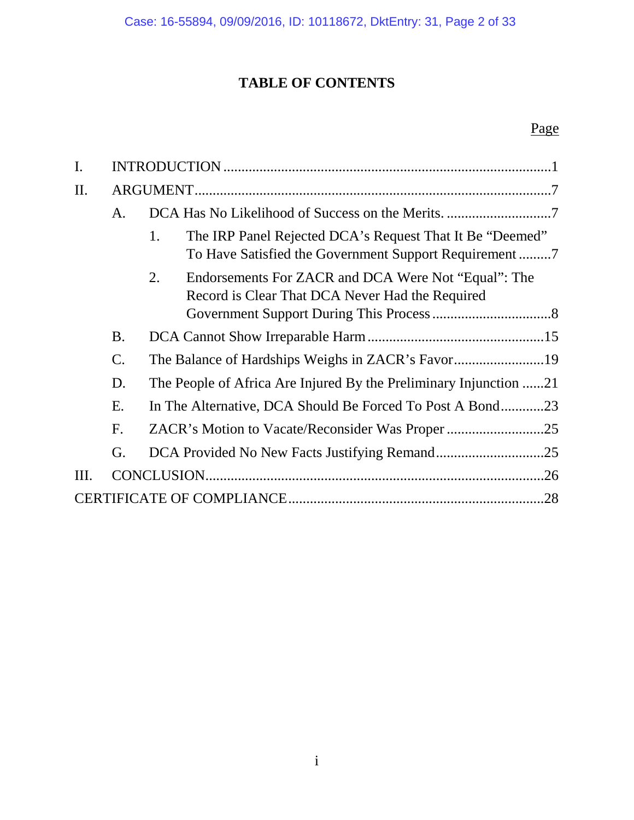# **TABLE OF CONTENTS**

# Page

| I.  |               |                                                                                                              |  |  |
|-----|---------------|--------------------------------------------------------------------------------------------------------------|--|--|
| II. |               |                                                                                                              |  |  |
|     | A.            |                                                                                                              |  |  |
|     |               | 1.<br>The IRP Panel Rejected DCA's Request That It Be "Deemed"                                               |  |  |
|     |               | Endorsements For ZACR and DCA Were Not "Equal": The<br>2.<br>Record is Clear That DCA Never Had the Required |  |  |
|     | <b>B.</b>     |                                                                                                              |  |  |
|     | $\mathsf{C}.$ |                                                                                                              |  |  |
|     | D.            | The People of Africa Are Injured By the Preliminary Injunction 21                                            |  |  |
|     | E.            | In The Alternative, DCA Should Be Forced To Post A Bond23                                                    |  |  |
|     | F.            |                                                                                                              |  |  |
|     | G.            |                                                                                                              |  |  |
| Ш.  |               | .26                                                                                                          |  |  |
|     |               | .28                                                                                                          |  |  |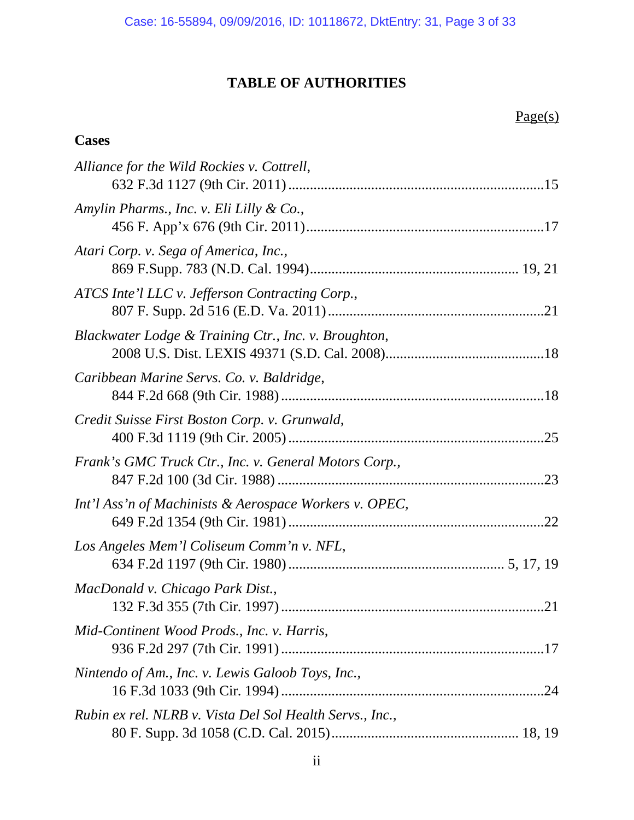# **TABLE OF AUTHORITIES**

# **Cases**

| Alliance for the Wild Rockies v. Cottrell,               |  |
|----------------------------------------------------------|--|
| Amylin Pharms., Inc. v. Eli Lilly & Co.,                 |  |
| Atari Corp. v. Sega of America, Inc.,                    |  |
| ATCS Inte'l LLC v. Jefferson Contracting Corp.,          |  |
| Blackwater Lodge & Training Ctr., Inc. v. Broughton,     |  |
| Caribbean Marine Servs. Co. v. Baldridge,                |  |
| Credit Suisse First Boston Corp. v. Grunwald,            |  |
| Frank's GMC Truck Ctr., Inc. v. General Motors Corp.,    |  |
| Int'l Ass'n of Machinists & Aerospace Workers v. OPEC,   |  |
| Los Angeles Mem'l Coliseum Comm'n v. NFL,                |  |
| MacDonald v. Chicago Park Dist.,                         |  |
| Mid-Continent Wood Prods., Inc. v. Harris,               |  |
| Nintendo of Am., Inc. v. Lewis Galoob Toys, Inc.,        |  |
| Rubin ex rel. NLRB v. Vista Del Sol Health Servs., Inc., |  |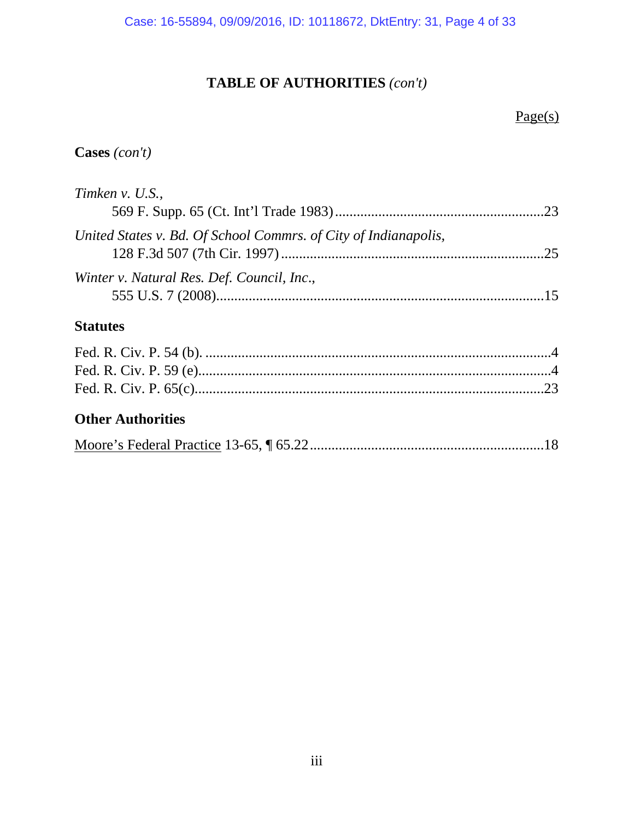# **TABLE OF AUTHORITIES** *(con't)*

# Page(s)

## **Cases** *(con't)*

| Timken v. U.S.,                                                 |  |
|-----------------------------------------------------------------|--|
|                                                                 |  |
| United States v. Bd. Of School Commrs. of City of Indianapolis, |  |
| Winter v. Natural Res. Def. Council, Inc.,                      |  |

## **Statutes**

## **Other Authorities**

|--|--|--|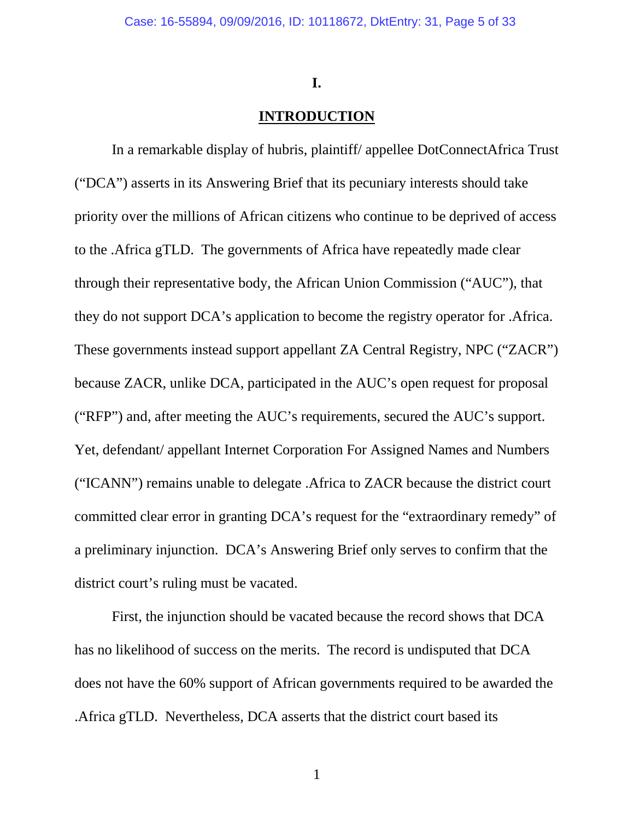#### **I.**

## **INTRODUCTION**

<span id="page-4-0"></span>In a remarkable display of hubris, plaintiff/ appellee DotConnectAfrica Trust ("DCA") asserts in its Answering Brief that its pecuniary interests should take priority over the millions of African citizens who continue to be deprived of access to the .Africa gTLD. The governments of Africa have repeatedly made clear through their representative body, the African Union Commission ("AUC"), that they do not support DCA's application to become the registry operator for .Africa. These governments instead support appellant ZA Central Registry, NPC ("ZACR") because ZACR, unlike DCA, participated in the AUC's open request for proposal ("RFP") and, after meeting the AUC's requirements, secured the AUC's support. Yet, defendant/ appellant Internet Corporation For Assigned Names and Numbers ("ICANN") remains unable to delegate .Africa to ZACR because the district court committed clear error in granting DCA's request for the "extraordinary remedy" of a preliminary injunction. DCA's Answering Brief only serves to confirm that the district court's ruling must be vacated.

First, the injunction should be vacated because the record shows that DCA has no likelihood of success on the merits. The record is undisputed that DCA does not have the 60% support of African governments required to be awarded the .Africa gTLD. Nevertheless, DCA asserts that the district court based its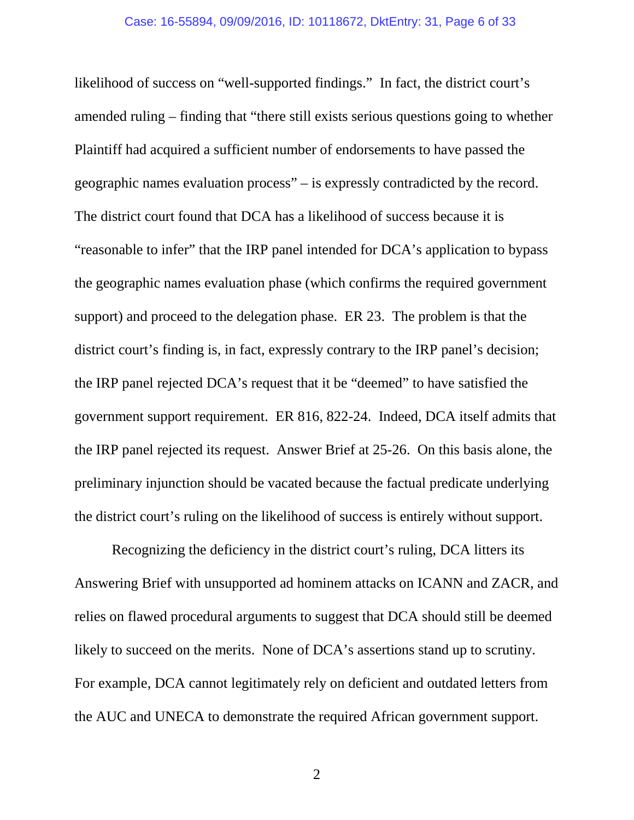likelihood of success on "well-supported findings." In fact, the district court's amended ruling – finding that "there still exists serious questions going to whether Plaintiff had acquired a sufficient number of endorsements to have passed the geographic names evaluation process" – is expressly contradicted by the record. The district court found that DCA has a likelihood of success because it is "reasonable to infer" that the IRP panel intended for DCA's application to bypass the geographic names evaluation phase (which confirms the required government support) and proceed to the delegation phase. ER 23. The problem is that the district court's finding is, in fact, expressly contrary to the IRP panel's decision; the IRP panel rejected DCA's request that it be "deemed" to have satisfied the government support requirement. ER 816, 822-24. Indeed, DCA itself admits that the IRP panel rejected its request. Answer Brief at 25-26. On this basis alone, the preliminary injunction should be vacated because the factual predicate underlying the district court's ruling on the likelihood of success is entirely without support.

Recognizing the deficiency in the district court's ruling, DCA litters its Answering Brief with unsupported ad hominem attacks on ICANN and ZACR, and relies on flawed procedural arguments to suggest that DCA should still be deemed likely to succeed on the merits. None of DCA's assertions stand up to scrutiny. For example, DCA cannot legitimately rely on deficient and outdated letters from the AUC and UNECA to demonstrate the required African government support.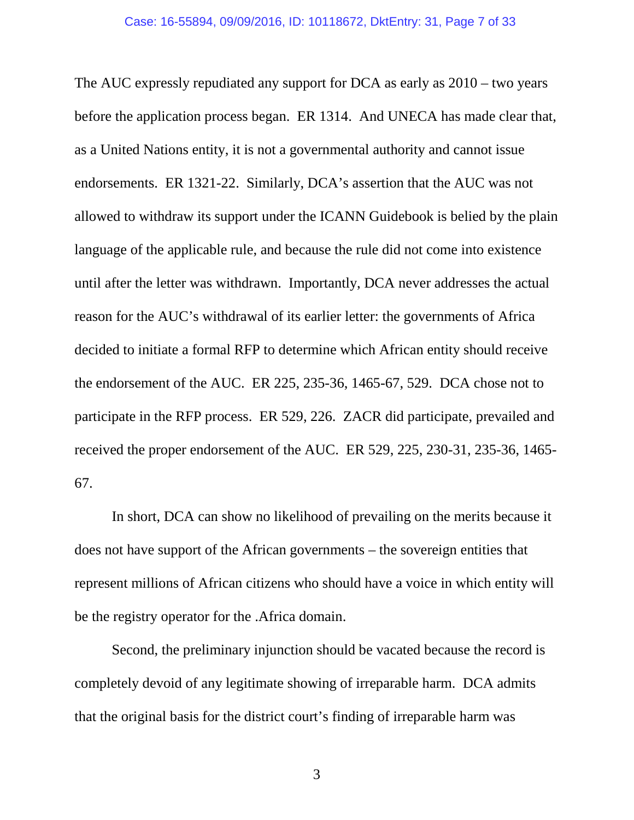The AUC expressly repudiated any support for DCA as early as 2010 – two years before the application process began. ER 1314. And UNECA has made clear that, as a United Nations entity, it is not a governmental authority and cannot issue endorsements. ER 1321-22. Similarly, DCA's assertion that the AUC was not allowed to withdraw its support under the ICANN Guidebook is belied by the plain language of the applicable rule, and because the rule did not come into existence until after the letter was withdrawn. Importantly, DCA never addresses the actual reason for the AUC's withdrawal of its earlier letter: the governments of Africa decided to initiate a formal RFP to determine which African entity should receive the endorsement of the AUC. ER 225, 235-36, 1465-67, 529. DCA chose not to participate in the RFP process. ER 529, 226. ZACR did participate, prevailed and received the proper endorsement of the AUC. ER 529, 225, 230-31, 235-36, 1465- 67.

In short, DCA can show no likelihood of prevailing on the merits because it does not have support of the African governments – the sovereign entities that represent millions of African citizens who should have a voice in which entity will be the registry operator for the .Africa domain.

Second, the preliminary injunction should be vacated because the record is completely devoid of any legitimate showing of irreparable harm. DCA admits that the original basis for the district court's finding of irreparable harm was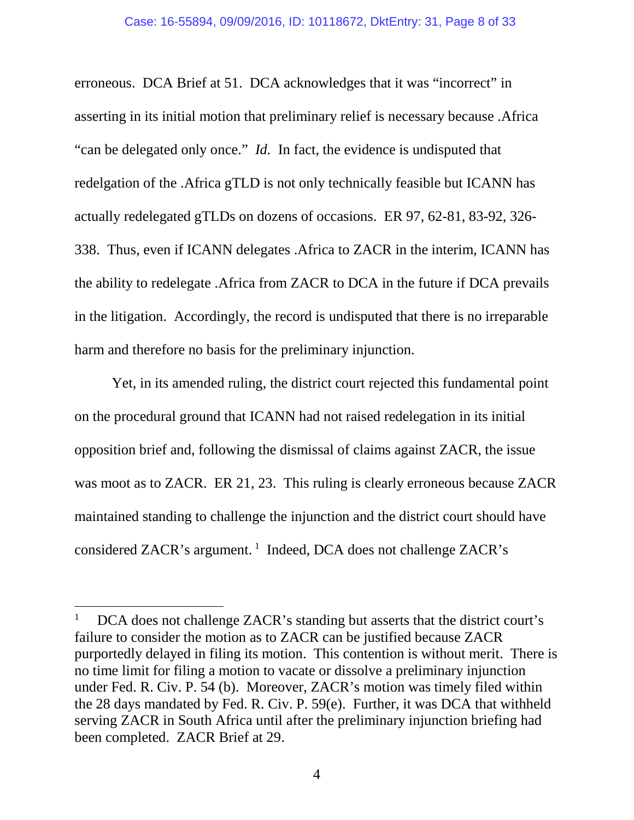erroneous. DCA Brief at 51. DCA acknowledges that it was "incorrect" in asserting in its initial motion that preliminary relief is necessary because .Africa "can be delegated only once." *Id.* In fact, the evidence is undisputed that redelgation of the .Africa gTLD is not only technically feasible but ICANN has actually redelegated gTLDs on dozens of occasions. ER 97, 62-81, 83-92, 326- 338. Thus, even if ICANN delegates .Africa to ZACR in the interim, ICANN has the ability to redelegate .Africa from ZACR to DCA in the future if DCA prevails in the litigation. Accordingly, the record is undisputed that there is no irreparable harm and therefore no basis for the preliminary injunction.

Yet, in its amended ruling, the district court rejected this fundamental point on the procedural ground that ICANN had not raised redelegation in its initial opposition brief and, following the dismissal of claims against ZACR, the issue was moot as to ZACR. ER 21, 23. This ruling is clearly erroneous because ZACR maintained standing to challenge the injunction and the district court should have considered ZACR's argument.<sup>[1](#page-7-0)</sup> Indeed, DCA does not challenge ZACR's

l

<span id="page-7-0"></span><sup>1</sup> DCA does not challenge ZACR's standing but asserts that the district court's failure to consider the motion as to ZACR can be justified because ZACR purportedly delayed in filing its motion. This contention is without merit. There is no time limit for filing a motion to vacate or dissolve a preliminary injunction under Fed. R. Civ. P. 54 (b). Moreover, ZACR's motion was timely filed within the 28 days mandated by Fed. R. Civ. P. 59(e). Further, it was DCA that withheld serving ZACR in South Africa until after the preliminary injunction briefing had been completed. ZACR Brief at 29.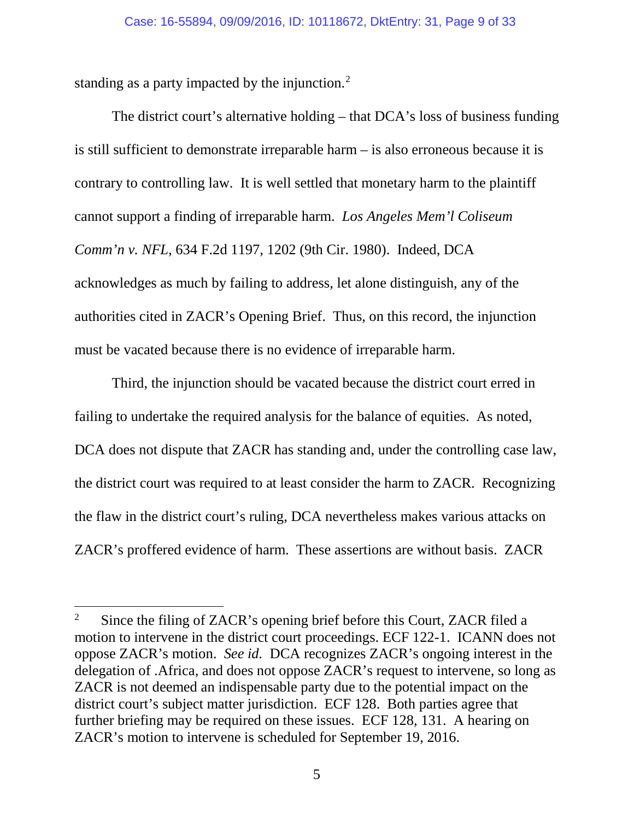standing as a party impacted by the injunction.<sup>[2](#page-8-0)</sup>

l

The district court's alternative holding – that DCA's loss of business funding is still sufficient to demonstrate irreparable harm – is also erroneous because it is contrary to controlling law. It is well settled that monetary harm to the plaintiff cannot support a finding of irreparable harm. *Los Angeles Mem'l Coliseum Comm'n v. NFL*, 634 F.2d 1197, 1202 (9th Cir. 1980). Indeed, DCA acknowledges as much by failing to address, let alone distinguish, any of the authorities cited in ZACR's Opening Brief. Thus, on this record, the injunction must be vacated because there is no evidence of irreparable harm.

Third, the injunction should be vacated because the district court erred in failing to undertake the required analysis for the balance of equities. As noted, DCA does not dispute that ZACR has standing and, under the controlling case law, the district court was required to at least consider the harm to ZACR. Recognizing the flaw in the district court's ruling, DCA nevertheless makes various attacks on ZACR's proffered evidence of harm. These assertions are without basis. ZACR

<span id="page-8-0"></span><sup>2</sup> Since the filing of ZACR's opening brief before this Court, ZACR filed a motion to intervene in the district court proceedings. ECF 122-1. ICANN does not oppose ZACR's motion. *See id.* DCA recognizes ZACR's ongoing interest in the delegation of .Africa, and does not oppose ZACR's request to intervene, so long as ZACR is not deemed an indispensable party due to the potential impact on the district court's subject matter jurisdiction. ECF 128. Both parties agree that further briefing may be required on these issues. ECF 128, 131. A hearing on ZACR's motion to intervene is scheduled for September 19, 2016.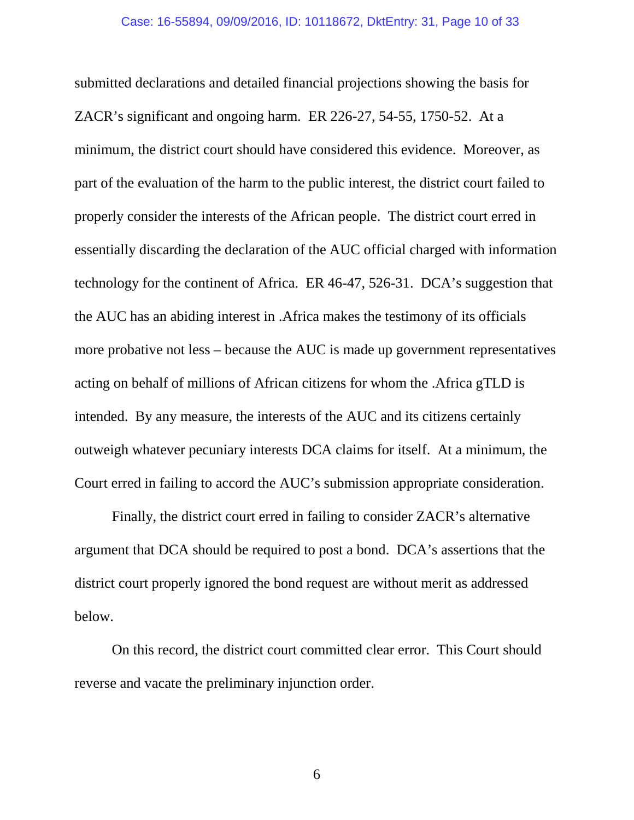submitted declarations and detailed financial projections showing the basis for ZACR's significant and ongoing harm. ER 226-27, 54-55, 1750-52. At a minimum, the district court should have considered this evidence. Moreover, as part of the evaluation of the harm to the public interest, the district court failed to properly consider the interests of the African people. The district court erred in essentially discarding the declaration of the AUC official charged with information technology for the continent of Africa. ER 46-47, 526-31. DCA's suggestion that the AUC has an abiding interest in .Africa makes the testimony of its officials more probative not less – because the AUC is made up government representatives acting on behalf of millions of African citizens for whom the .Africa gTLD is intended. By any measure, the interests of the AUC and its citizens certainly outweigh whatever pecuniary interests DCA claims for itself. At a minimum, the Court erred in failing to accord the AUC's submission appropriate consideration.

Finally, the district court erred in failing to consider ZACR's alternative argument that DCA should be required to post a bond. DCA's assertions that the district court properly ignored the bond request are without merit as addressed below.

On this record, the district court committed clear error. This Court should reverse and vacate the preliminary injunction order.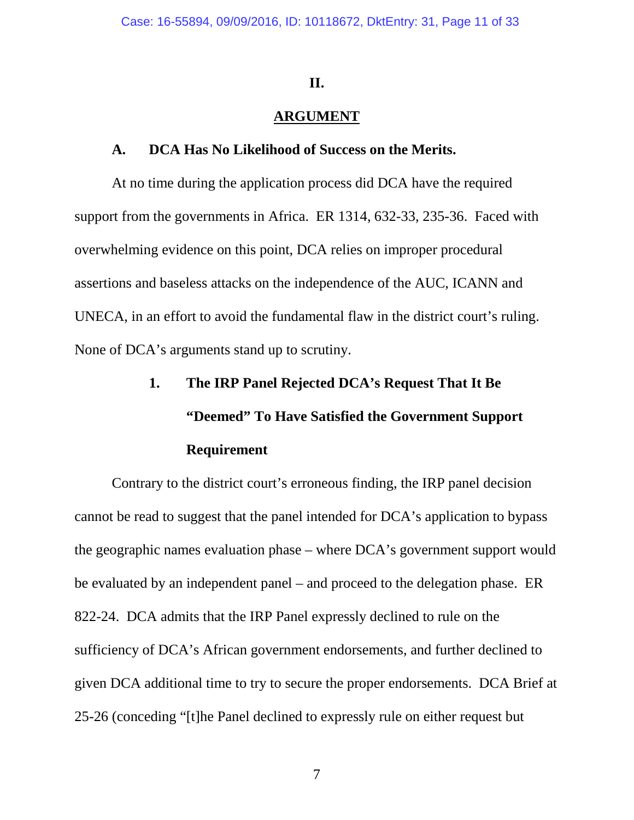#### **II.**

## **ARGUMENT**

#### <span id="page-10-0"></span>**A. DCA Has No Likelihood of Success on the Merits.**

<span id="page-10-1"></span>At no time during the application process did DCA have the required support from the governments in Africa. ER 1314, 632-33, 235-36. Faced with overwhelming evidence on this point, DCA relies on improper procedural assertions and baseless attacks on the independence of the AUC, ICANN and UNECA, in an effort to avoid the fundamental flaw in the district court's ruling. None of DCA's arguments stand up to scrutiny.

# <span id="page-10-2"></span>**1. The IRP Panel Rejected DCA's Request That It Be "Deemed" To Have Satisfied the Government Support Requirement**

Contrary to the district court's erroneous finding, the IRP panel decision cannot be read to suggest that the panel intended for DCA's application to bypass the geographic names evaluation phase – where DCA's government support would be evaluated by an independent panel – and proceed to the delegation phase. ER 822-24. DCA admits that the IRP Panel expressly declined to rule on the sufficiency of DCA's African government endorsements, and further declined to given DCA additional time to try to secure the proper endorsements. DCA Brief at 25-26 (conceding "[t]he Panel declined to expressly rule on either request but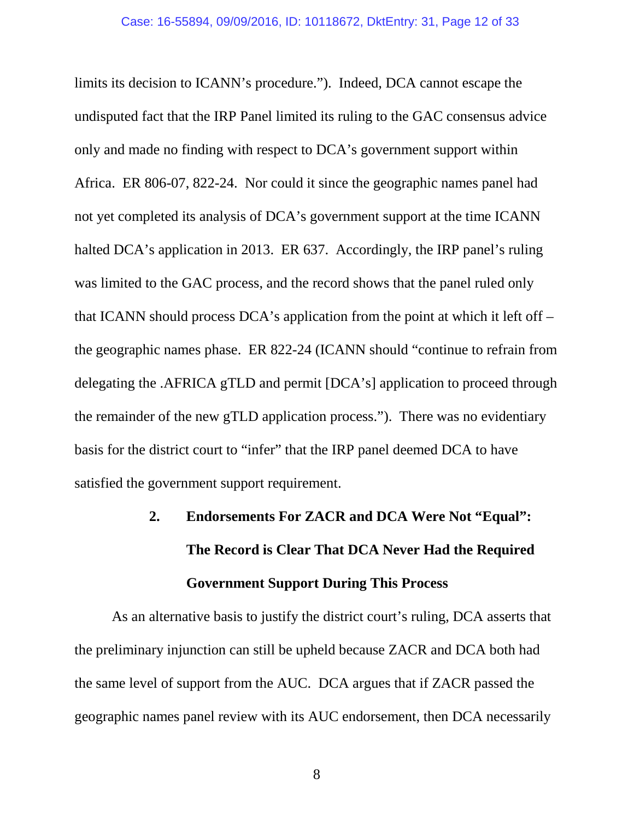limits its decision to ICANN's procedure."). Indeed, DCA cannot escape the undisputed fact that the IRP Panel limited its ruling to the GAC consensus advice only and made no finding with respect to DCA's government support within Africa. ER 806-07, 822-24. Nor could it since the geographic names panel had not yet completed its analysis of DCA's government support at the time ICANN halted DCA's application in 2013. ER 637. Accordingly, the IRP panel's ruling was limited to the GAC process, and the record shows that the panel ruled only that ICANN should process DCA's application from the point at which it left off – the geographic names phase. ER 822-24 (ICANN should "continue to refrain from delegating the .AFRICA gTLD and permit [DCA's] application to proceed through the remainder of the new gTLD application process."). There was no evidentiary basis for the district court to "infer" that the IRP panel deemed DCA to have satisfied the government support requirement.

# <span id="page-11-0"></span>**2. Endorsements For ZACR and DCA Were Not "Equal": The Record is Clear That DCA Never Had the Required Government Support During This Process**

As an alternative basis to justify the district court's ruling, DCA asserts that the preliminary injunction can still be upheld because ZACR and DCA both had the same level of support from the AUC. DCA argues that if ZACR passed the geographic names panel review with its AUC endorsement, then DCA necessarily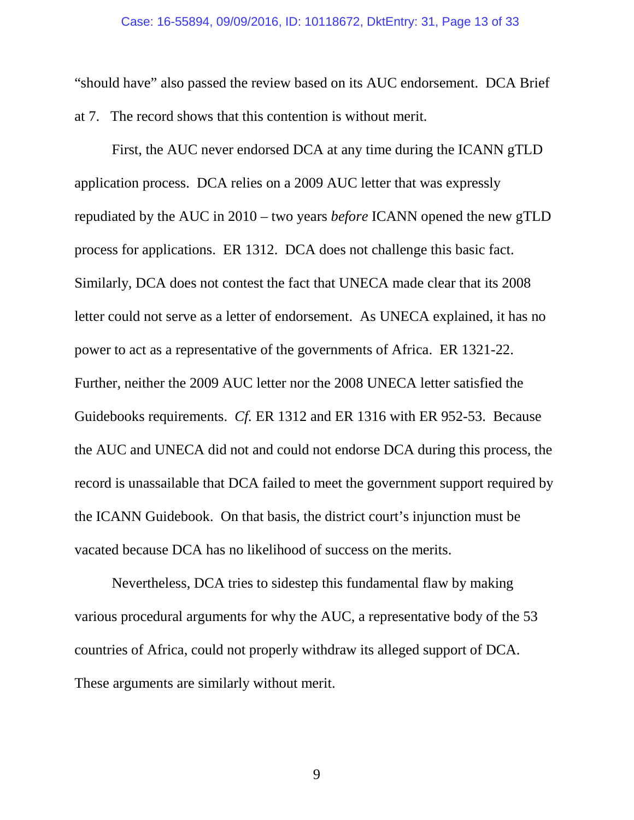"should have" also passed the review based on its AUC endorsement. DCA Brief at 7. The record shows that this contention is without merit.

First, the AUC never endorsed DCA at any time during the ICANN gTLD application process. DCA relies on a 2009 AUC letter that was expressly repudiated by the AUC in 2010 – two years *before* ICANN opened the new gTLD process for applications. ER 1312. DCA does not challenge this basic fact. Similarly, DCA does not contest the fact that UNECA made clear that its 2008 letter could not serve as a letter of endorsement. As UNECA explained, it has no power to act as a representative of the governments of Africa. ER 1321-22. Further, neither the 2009 AUC letter nor the 2008 UNECA letter satisfied the Guidebooks requirements. *Cf.* ER 1312 and ER 1316 with ER 952-53. Because the AUC and UNECA did not and could not endorse DCA during this process, the record is unassailable that DCA failed to meet the government support required by the ICANN Guidebook. On that basis, the district court's injunction must be vacated because DCA has no likelihood of success on the merits.

Nevertheless, DCA tries to sidestep this fundamental flaw by making various procedural arguments for why the AUC, a representative body of the 53 countries of Africa, could not properly withdraw its alleged support of DCA. These arguments are similarly without merit.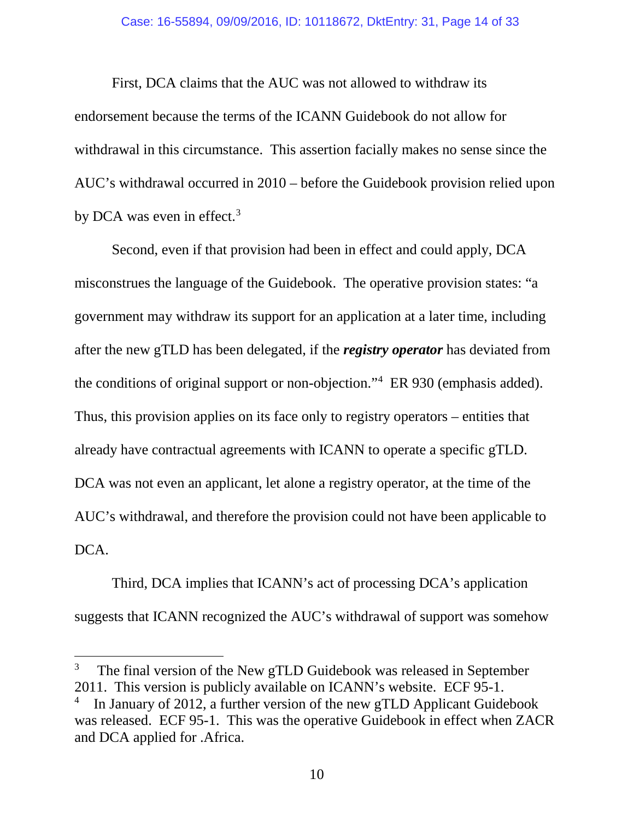First, DCA claims that the AUC was not allowed to withdraw its endorsement because the terms of the ICANN Guidebook do not allow for withdrawal in this circumstance. This assertion facially makes no sense since the AUC's withdrawal occurred in 2010 – before the Guidebook provision relied upon by DCA was even in effect.<sup>[3](#page-13-0)</sup>

Second, even if that provision had been in effect and could apply, DCA misconstrues the language of the Guidebook. The operative provision states: "a government may withdraw its support for an application at a later time, including after the new gTLD has been delegated, if the *registry operator* has deviated from the conditions of original support or non-objection."[4](#page-13-1) ER 930 (emphasis added). Thus, this provision applies on its face only to registry operators – entities that already have contractual agreements with ICANN to operate a specific gTLD. DCA was not even an applicant, let alone a registry operator, at the time of the AUC's withdrawal, and therefore the provision could not have been applicable to DCA.

Third, DCA implies that ICANN's act of processing DCA's application suggests that ICANN recognized the AUC's withdrawal of support was somehow

<span id="page-13-0"></span><sup>3</sup> The final version of the New gTLD Guidebook was released in September 2011. This version is publicly available on ICANN's website. ECF 95-1.

<span id="page-13-1"></span><sup>4</sup> In January of 2012, a further version of the new gTLD Applicant Guidebook was released. ECF 95-1. This was the operative Guidebook in effect when ZACR and DCA applied for .Africa.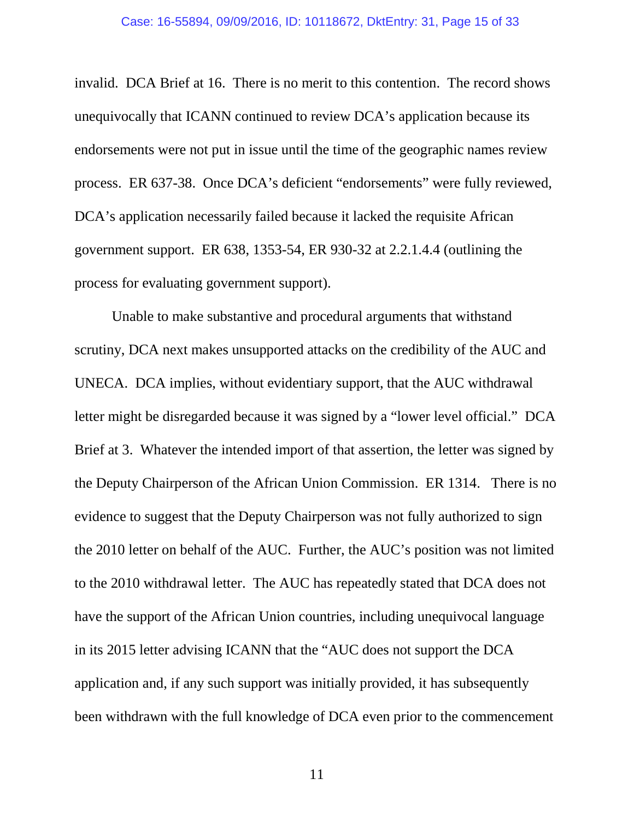#### Case: 16-55894, 09/09/2016, ID: 10118672, DktEntry: 31, Page 15 of 33

invalid. DCA Brief at 16. There is no merit to this contention. The record shows unequivocally that ICANN continued to review DCA's application because its endorsements were not put in issue until the time of the geographic names review process. ER 637-38. Once DCA's deficient "endorsements" were fully reviewed, DCA's application necessarily failed because it lacked the requisite African government support. ER 638, 1353-54, ER 930-32 at 2.2.1.4.4 (outlining the process for evaluating government support).

Unable to make substantive and procedural arguments that withstand scrutiny, DCA next makes unsupported attacks on the credibility of the AUC and UNECA. DCA implies, without evidentiary support, that the AUC withdrawal letter might be disregarded because it was signed by a "lower level official." DCA Brief at 3. Whatever the intended import of that assertion, the letter was signed by the Deputy Chairperson of the African Union Commission. ER 1314. There is no evidence to suggest that the Deputy Chairperson was not fully authorized to sign the 2010 letter on behalf of the AUC. Further, the AUC's position was not limited to the 2010 withdrawal letter. The AUC has repeatedly stated that DCA does not have the support of the African Union countries, including unequivocal language in its 2015 letter advising ICANN that the "AUC does not support the DCA application and, if any such support was initially provided, it has subsequently been withdrawn with the full knowledge of DCA even prior to the commencement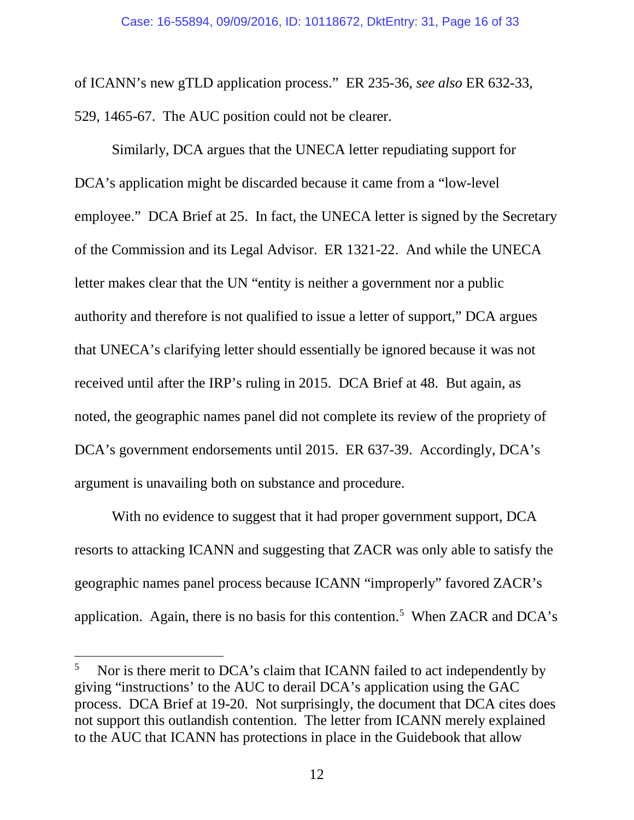of ICANN's new gTLD application process." ER 235-36, *see also* ER 632-33, 529, 1465-67. The AUC position could not be clearer.

Similarly, DCA argues that the UNECA letter repudiating support for DCA's application might be discarded because it came from a "low-level employee." DCA Brief at 25. In fact, the UNECA letter is signed by the Secretary of the Commission and its Legal Advisor. ER 1321-22. And while the UNECA letter makes clear that the UN "entity is neither a government nor a public authority and therefore is not qualified to issue a letter of support," DCA argues that UNECA's clarifying letter should essentially be ignored because it was not received until after the IRP's ruling in 2015. DCA Brief at 48. But again, as noted, the geographic names panel did not complete its review of the propriety of DCA's government endorsements until 2015. ER 637-39. Accordingly, DCA's argument is unavailing both on substance and procedure.

With no evidence to suggest that it had proper government support, DCA resorts to attacking ICANN and suggesting that ZACR was only able to satisfy the geographic names panel process because ICANN "improperly" favored ZACR's application. Again, there is no basis for this contention.<sup>[5](#page-16-0)</sup> When ZACR and DCA's

<sup>5</sup> Nor is there merit to DCA's claim that ICANN failed to act independently by giving "instructions' to the AUC to derail DCA's application using the GAC process. DCA Brief at 19-20. Not surprisingly, the document that DCA cites does not support this outlandish contention. The letter from ICANN merely explained to the AUC that ICANN has protections in place in the Guidebook that allow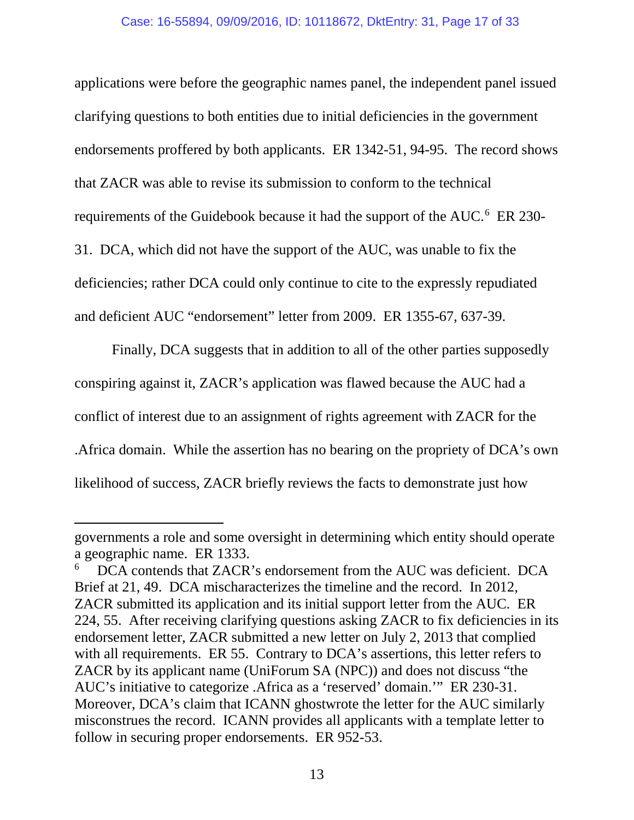#### Case: 16-55894, 09/09/2016, ID: 10118672, DktEntry: 31, Page 17 of 33

applications were before the geographic names panel, the independent panel issued clarifying questions to both entities due to initial deficiencies in the government endorsements proffered by both applicants. ER 1342-51, 94-95. The record shows that ZACR was able to revise its submission to conform to the technical requirements of the Guidebook because it had the support of the AUC.<sup>[6](#page-16-1)</sup> ER 230-31. DCA, which did not have the support of the AUC, was unable to fix the deficiencies; rather DCA could only continue to cite to the expressly repudiated and deficient AUC "endorsement" letter from 2009. ER 1355-67, 637-39.

Finally, DCA suggests that in addition to all of the other parties supposedly conspiring against it, ZACR's application was flawed because the AUC had a conflict of interest due to an assignment of rights agreement with ZACR for the .Africa domain. While the assertion has no bearing on the propriety of DCA's own likelihood of success, ZACR briefly reviews the facts to demonstrate just how

<span id="page-16-0"></span>l

governments a role and some oversight in determining which entity should operate a geographic name. ER 1333.

<span id="page-16-1"></span><sup>6</sup> DCA contends that ZACR's endorsement from the AUC was deficient. DCA Brief at 21, 49. DCA mischaracterizes the timeline and the record. In 2012, ZACR submitted its application and its initial support letter from the AUC. ER 224, 55. After receiving clarifying questions asking ZACR to fix deficiencies in its endorsement letter, ZACR submitted a new letter on July 2, 2013 that complied with all requirements. ER 55. Contrary to DCA's assertions, this letter refers to ZACR by its applicant name (UniForum SA (NPC)) and does not discuss "the AUC's initiative to categorize .Africa as a 'reserved' domain.'" ER 230-31. Moreover, DCA's claim that ICANN ghostwrote the letter for the AUC similarly misconstrues the record. ICANN provides all applicants with a template letter to follow in securing proper endorsements. ER 952-53.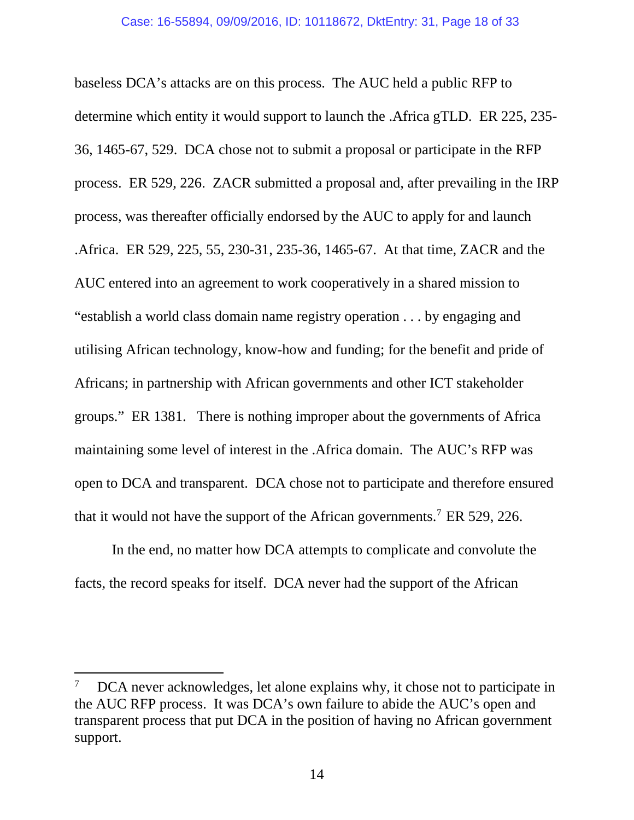baseless DCA's attacks are on this process. The AUC held a public RFP to determine which entity it would support to launch the .Africa gTLD. ER 225, 235- 36, 1465-67, 529. DCA chose not to submit a proposal or participate in the RFP process. ER 529, 226. ZACR submitted a proposal and, after prevailing in the IRP process, was thereafter officially endorsed by the AUC to apply for and launch .Africa. ER 529, 225, 55, 230-31, 235-36, 1465-67. At that time, ZACR and the AUC entered into an agreement to work cooperatively in a shared mission to "establish a world class domain name registry operation . . . by engaging and utilising African technology, know-how and funding; for the benefit and pride of Africans; in partnership with African governments and other ICT stakeholder groups." ER 1381. There is nothing improper about the governments of Africa maintaining some level of interest in the .Africa domain. The AUC's RFP was open to DCA and transparent. DCA chose not to participate and therefore ensured that it would not have the support of the African governments.[7](#page-18-1) ER 529, 226.

In the end, no matter how DCA attempts to complicate and convolute the facts, the record speaks for itself. DCA never had the support of the African

 $\overline{\phantom{a}}$ 

<sup>7</sup> DCA never acknowledges, let alone explains why, it chose not to participate in the AUC RFP process. It was DCA's own failure to abide the AUC's open and transparent process that put DCA in the position of having no African government support.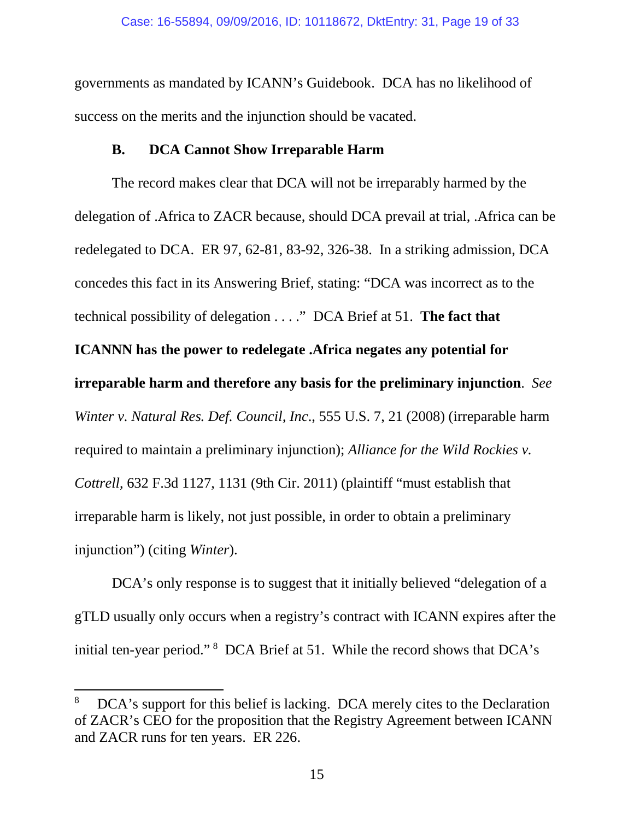governments as mandated by ICANN's Guidebook. DCA has no likelihood of success on the merits and the injunction should be vacated.

## **B. DCA Cannot Show Irreparable Harm**

<span id="page-18-0"></span>The record makes clear that DCA will not be irreparably harmed by the delegation of .Africa to ZACR because, should DCA prevail at trial, .Africa can be redelegated to DCA. ER 97, 62-81, 83-92, 326-38. In a striking admission, DCA concedes this fact in its Answering Brief, stating: "DCA was incorrect as to the technical possibility of delegation . . . ." DCA Brief at 51. **The fact that ICANNN has the power to redelegate .Africa negates any potential for irreparable harm and therefore any basis for the preliminary injunction**. *See Winter v. Natural Res. Def. Council, Inc*., 555 U.S. 7, 21 (2008) (irreparable harm required to maintain a preliminary injunction); *Alliance for the Wild Rockies v. Cottrell*, 632 F.3d 1127, 1131 (9th Cir. 2011) (plaintiff "must establish that irreparable harm is likely, not just possible, in order to obtain a preliminary injunction") (citing *Winter*).

DCA's only response is to suggest that it initially believed "delegation of a gTLD usually only occurs when a registry's contract with ICANN expires after the initial ten-year period."<sup>[8](#page-19-0)</sup> DCA Brief at 51. While the record shows that DCA's

<span id="page-18-1"></span><sup>8</sup> DCA's support for this belief is lacking. DCA merely cites to the Declaration of ZACR's CEO for the proposition that the Registry Agreement between ICANN and ZACR runs for ten years. ER 226.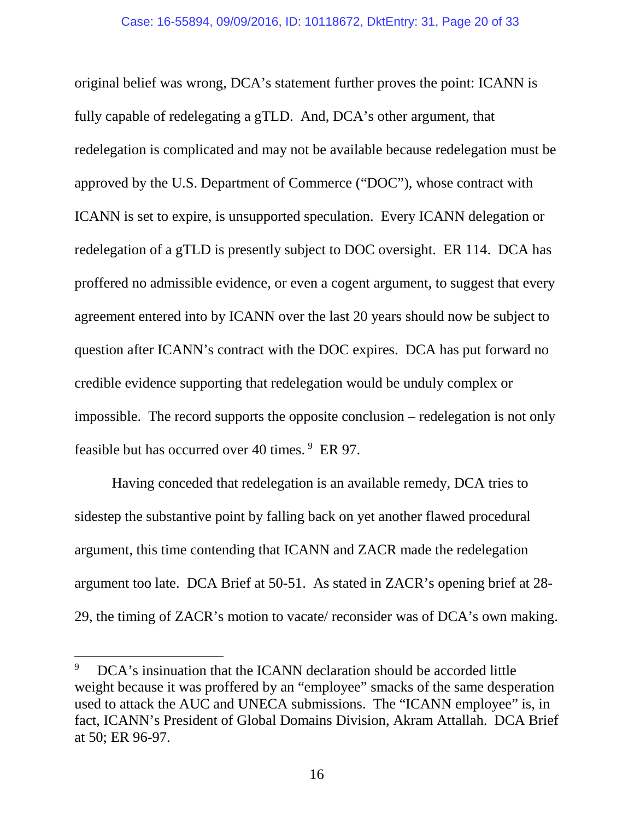original belief was wrong, DCA's statement further proves the point: ICANN is fully capable of redelegating a gTLD. And, DCA's other argument, that redelegation is complicated and may not be available because redelegation must be approved by the U.S. Department of Commerce ("DOC"), whose contract with ICANN is set to expire, is unsupported speculation. Every ICANN delegation or redelegation of a gTLD is presently subject to DOC oversight. ER 114. DCA has proffered no admissible evidence, or even a cogent argument, to suggest that every agreement entered into by ICANN over the last 20 years should now be subject to question after ICANN's contract with the DOC expires. DCA has put forward no credible evidence supporting that redelegation would be unduly complex or impossible. The record supports the opposite conclusion – redelegation is not only feasible but has occurred over 40 times.<sup>[9](#page-20-0)</sup> ER 97.

Having conceded that redelegation is an available remedy, DCA tries to sidestep the substantive point by falling back on yet another flawed procedural argument, this time contending that ICANN and ZACR made the redelegation argument too late. DCA Brief at 50-51. As stated in ZACR's opening brief at 28- 29, the timing of ZACR's motion to vacate/ reconsider was of DCA's own making.

<span id="page-19-0"></span><sup>9</sup> DCA's insinuation that the ICANN declaration should be accorded little weight because it was proffered by an "employee" smacks of the same desperation used to attack the AUC and UNECA submissions. The "ICANN employee" is, in fact, ICANN's President of Global Domains Division, Akram Attallah. DCA Brief at 50; ER 96-97.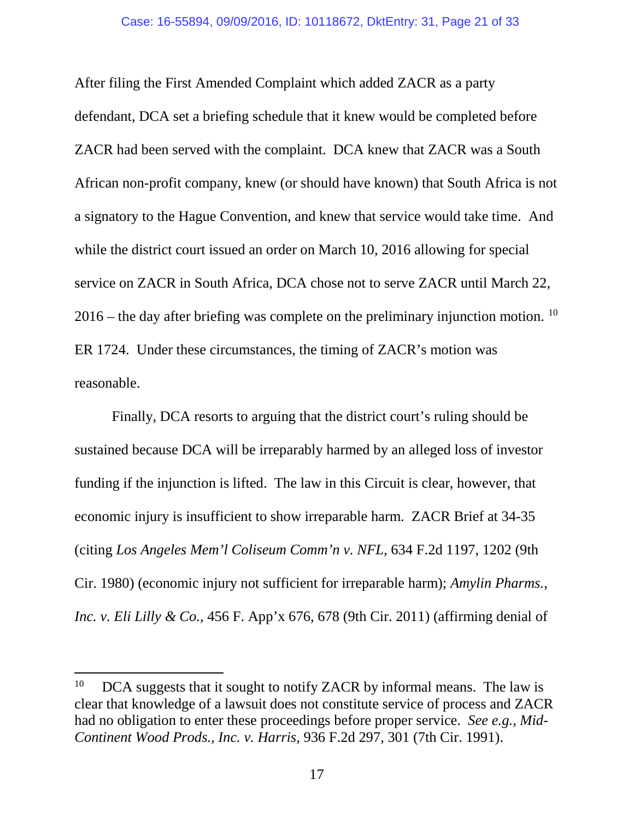After filing the First Amended Complaint which added ZACR as a party defendant, DCA set a briefing schedule that it knew would be completed before ZACR had been served with the complaint. DCA knew that ZACR was a South African non-profit company, knew (or should have known) that South Africa is not a signatory to the Hague Convention, and knew that service would take time. And while the district court issued an order on March 10, 2016 allowing for special service on ZACR in South Africa, DCA chose not to serve ZACR until March 22,  $2016$  – the day after briefing was complete on the preliminary injunction motion. <sup>[10](#page-20-1)</sup> ER 1724. Under these circumstances, the timing of ZACR's motion was reasonable.

Finally, DCA resorts to arguing that the district court's ruling should be sustained because DCA will be irreparably harmed by an alleged loss of investor funding if the injunction is lifted. The law in this Circuit is clear, however, that economic injury is insufficient to show irreparable harm. ZACR Brief at 34-35 (citing *Los Angeles Mem'l Coliseum Comm'n v. NFL,* 634 F.2d 1197, 1202 (9th Cir. 1980) (economic injury not sufficient for irreparable harm); *Amylin Pharms., Inc. v. Eli Lilly & Co.,* 456 F. App'x 676, 678 (9th Cir. 2011) (affirming denial of

<span id="page-20-0"></span> $\overline{\phantom{a}}$ 

<span id="page-20-1"></span> $10$  DCA suggests that it sought to notify ZACR by informal means. The law is clear that knowledge of a lawsuit does not constitute service of process and ZACR had no obligation to enter these proceedings before proper service. *See e.g., Mid-Continent Wood Prods., Inc. v. Harris,* 936 F.2d 297, 301 (7th Cir. 1991).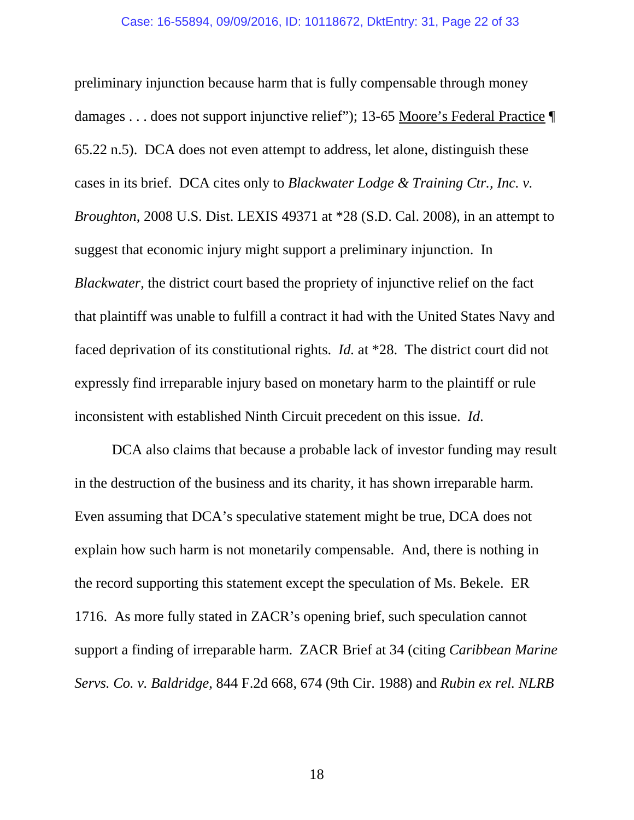preliminary injunction because harm that is fully compensable through money damages . . . does not support injunctive relief"); 13-65 Moore's Federal Practice ¶ 65.22 n.5). DCA does not even attempt to address, let alone, distinguish these cases in its brief. DCA cites only to *Blackwater Lodge & Training Ctr., Inc. v. Broughton*, 2008 U.S. Dist. LEXIS 49371 at \*28 (S.D. Cal. 2008), in an attempt to suggest that economic injury might support a preliminary injunction. In *Blackwater*, the district court based the propriety of injunctive relief on the fact that plaintiff was unable to fulfill a contract it had with the United States Navy and faced deprivation of its constitutional rights. *Id.* at \*28. The district court did not expressly find irreparable injury based on monetary harm to the plaintiff or rule inconsistent with established Ninth Circuit precedent on this issue. *Id*.

DCA also claims that because a probable lack of investor funding may result in the destruction of the business and its charity, it has shown irreparable harm. Even assuming that DCA's speculative statement might be true, DCA does not explain how such harm is not monetarily compensable. And, there is nothing in the record supporting this statement except the speculation of Ms. Bekele. ER 1716. As more fully stated in ZACR's opening brief, such speculation cannot support a finding of irreparable harm. ZACR Brief at 34 (citing *Caribbean Marine Servs. Co. v. Baldridge*, 844 F.2d 668, 674 (9th Cir. 1988) and *Rubin ex rel. NLRB*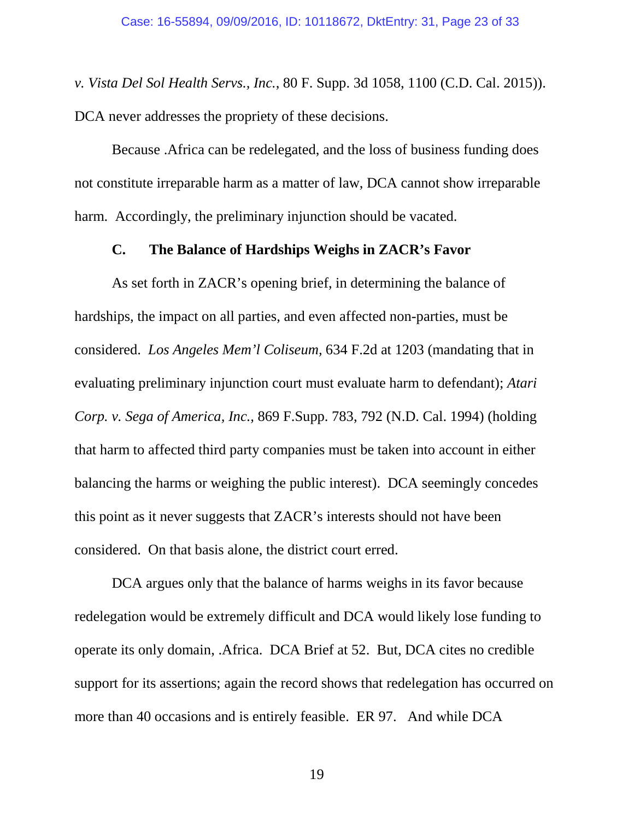*v. Vista Del Sol Health Servs., Inc.*, 80 F. Supp. 3d 1058, 1100 (C.D. Cal. 2015)). DCA never addresses the propriety of these decisions.

Because .Africa can be redelegated, and the loss of business funding does not constitute irreparable harm as a matter of law, DCA cannot show irreparable harm. Accordingly, the preliminary injunction should be vacated.

#### **C. The Balance of Hardships Weighs in ZACR's Favor**

<span id="page-22-0"></span>As set forth in ZACR's opening brief, in determining the balance of hardships, the impact on all parties, and even affected non-parties, must be considered. *Los Angeles Mem'l Coliseum,* 634 F.2d at 1203 (mandating that in evaluating preliminary injunction court must evaluate harm to defendant); *Atari Corp. v. Sega of America, Inc.,* 869 F.Supp. 783, 792 (N.D. Cal. 1994) (holding that harm to affected third party companies must be taken into account in either balancing the harms or weighing the public interest). DCA seemingly concedes this point as it never suggests that ZACR's interests should not have been considered. On that basis alone, the district court erred.

DCA argues only that the balance of harms weighs in its favor because redelegation would be extremely difficult and DCA would likely lose funding to operate its only domain, .Africa. DCA Brief at 52. But, DCA cites no credible support for its assertions; again the record shows that redelegation has occurred on more than 40 occasions and is entirely feasible. ER 97. And while DCA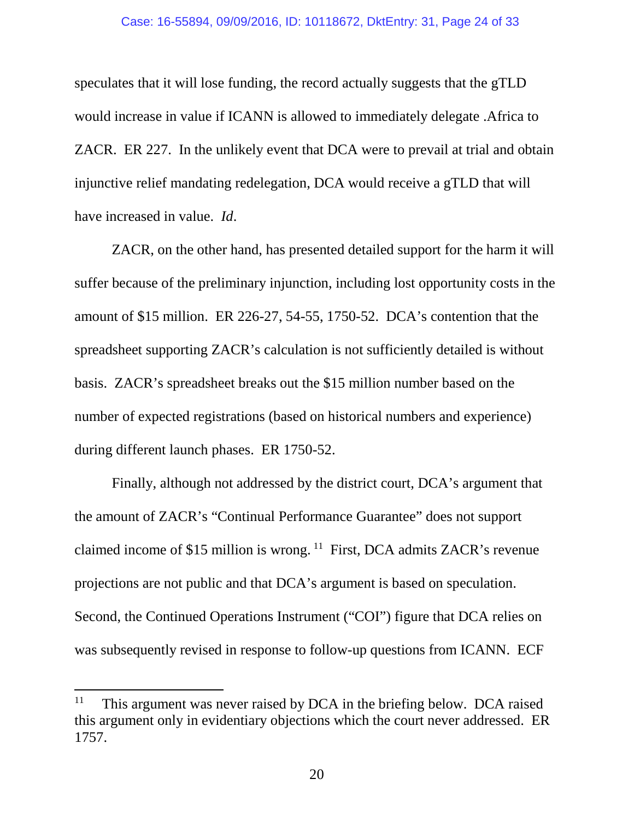speculates that it will lose funding, the record actually suggests that the gTLD would increase in value if ICANN is allowed to immediately delegate .Africa to ZACR. ER 227. In the unlikely event that DCA were to prevail at trial and obtain injunctive relief mandating redelegation, DCA would receive a gTLD that will have increased in value. *Id*.

ZACR, on the other hand, has presented detailed support for the harm it will suffer because of the preliminary injunction, including lost opportunity costs in the amount of \$15 million. ER 226-27, 54-55, 1750-52. DCA's contention that the spreadsheet supporting ZACR's calculation is not sufficiently detailed is without basis. ZACR's spreadsheet breaks out the \$15 million number based on the number of expected registrations (based on historical numbers and experience) during different launch phases. ER 1750-52.

Finally, although not addressed by the district court, DCA's argument that the amount of ZACR's "Continual Performance Guarantee" does not support claimed income of \$15 million is wrong.  $^{11}$  $^{11}$  $^{11}$  First, DCA admits ZACR's revenue projections are not public and that DCA's argument is based on speculation. Second, the Continued Operations Instrument ("COI") figure that DCA relies on was subsequently revised in response to follow-up questions from ICANN. ECF

<sup>&</sup>lt;sup>11</sup> This argument was never raised by DCA in the briefing below. DCA raised this argument only in evidentiary objections which the court never addressed. ER 1757.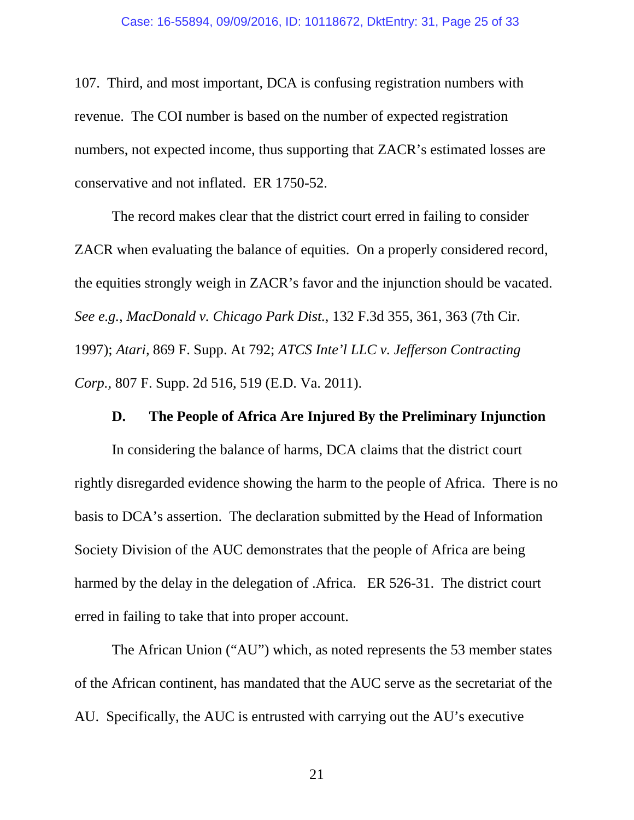107. Third, and most important, DCA is confusing registration numbers with revenue. The COI number is based on the number of expected registration numbers, not expected income, thus supporting that ZACR's estimated losses are conservative and not inflated. ER 1750-52.

The record makes clear that the district court erred in failing to consider ZACR when evaluating the balance of equities. On a properly considered record, the equities strongly weigh in ZACR's favor and the injunction should be vacated. *See e.g., MacDonald v. Chicago Park Dist.,* 132 F.3d 355, 361, 363 (7th Cir. 1997); *Atari,* 869 F. Supp. At 792; *ATCS Inte'l LLC v. Jefferson Contracting Corp.,* 807 F. Supp. 2d 516, 519 (E.D. Va. 2011).

### **D. The People of Africa Are Injured By the Preliminary Injunction**

<span id="page-24-0"></span>In considering the balance of harms, DCA claims that the district court rightly disregarded evidence showing the harm to the people of Africa. There is no basis to DCA's assertion. The declaration submitted by the Head of Information Society Division of the AUC demonstrates that the people of Africa are being harmed by the delay in the delegation of .Africa. ER 526-31. The district court erred in failing to take that into proper account.

<span id="page-24-1"></span>The African Union ("AU") which, as noted represents the 53 member states of the African continent, has mandated that the AUC serve as the secretariat of the AU. Specifically, the AUC is entrusted with carrying out the AU's executive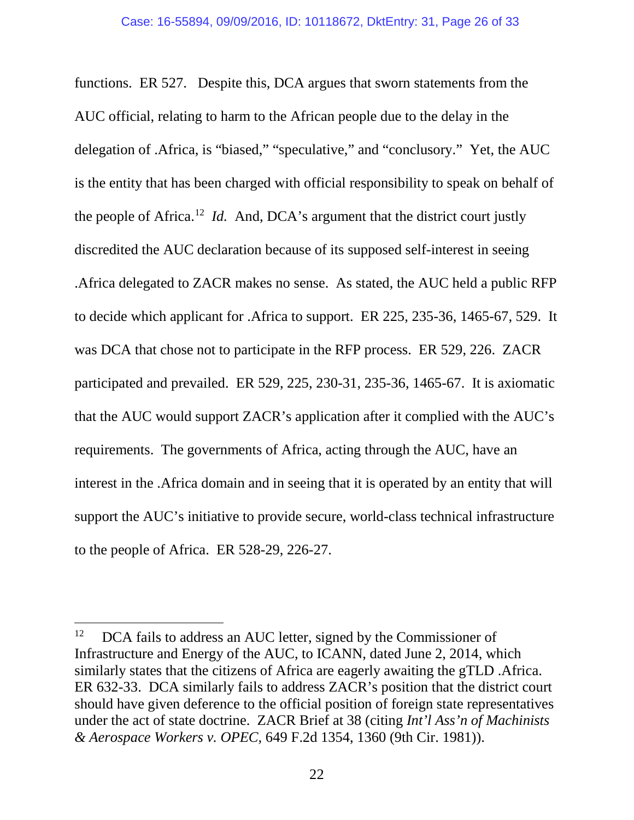functions. ER 527. Despite this, DCA argues that sworn statements from the AUC official, relating to harm to the African people due to the delay in the delegation of .Africa, is "biased," "speculative," and "conclusory." Yet, the AUC is the entity that has been charged with official responsibility to speak on behalf of the people of Africa. [12](#page-26-1) *Id.* And, DCA's argument that the district court justly discredited the AUC declaration because of its supposed self-interest in seeing .Africa delegated to ZACR makes no sense. As stated, the AUC held a public RFP to decide which applicant for .Africa to support. ER 225, 235-36, 1465-67, 529. It was DCA that chose not to participate in the RFP process. ER 529, 226. ZACR participated and prevailed. ER 529, 225, 230-31, 235-36, 1465-67.It is axiomatic that the AUC would support ZACR's application after it complied with the AUC's requirements. The governments of Africa, acting through the AUC, have an interest in the .Africa domain and in seeing that it is operated by an entity that will support the AUC's initiative to provide secure, world-class technical infrastructure to the people of Africa. ER 528-29, 226-27.

 $12$  DCA fails to address an AUC letter, signed by the Commissioner of Infrastructure and Energy of the AUC, to ICANN, dated June 2, 2014, which similarly states that the citizens of Africa are eagerly awaiting the gTLD .Africa. ER 632-33. DCA similarly fails to address ZACR's position that the district court should have given deference to the official position of foreign state representatives under the act of state doctrine. ZACR Brief at 38 (citing *Int'l Ass'n of Machinists & Aerospace Workers v. OPEC,* 649 F.2d 1354, 1360 (9th Cir. 1981)).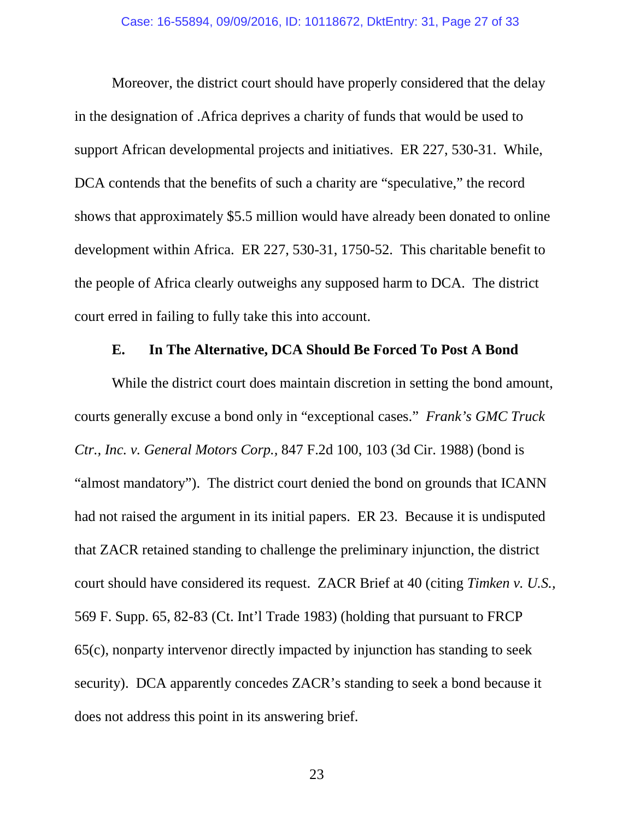Moreover, the district court should have properly considered that the delay in the designation of .Africa deprives a charity of funds that would be used to support African developmental projects and initiatives. ER 227, 530-31. While, DCA contends that the benefits of such a charity are "speculative," the record shows that approximately \$5.5 million would have already been donated to online development within Africa. ER 227, 530-31, 1750-52. This charitable benefit to the people of Africa clearly outweighs any supposed harm to DCA. The district court erred in failing to fully take this into account.

## **E. In The Alternative, DCA Should Be Forced To Post A Bond**

<span id="page-26-1"></span><span id="page-26-0"></span>While the district court does maintain discretion in setting the bond amount, courts generally excuse a bond only in "exceptional cases." *Frank's GMC Truck Ctr., Inc. v. General Motors Corp.,* 847 F.2d 100, 103 (3d Cir. 1988) (bond is "almost mandatory"). The district court denied the bond on grounds that ICANN had not raised the argument in its initial papers. ER 23. Because it is undisputed that ZACR retained standing to challenge the preliminary injunction, the district court should have considered its request. ZACR Brief at 40 (citing *Timken v. U.S.,*  569 F. Supp. 65, 82-83 (Ct. Int'l Trade 1983) (holding that pursuant to FRCP 65(c), nonparty intervenor directly impacted by injunction has standing to seek security). DCA apparently concedes ZACR's standing to seek a bond because it does not address this point in its answering brief.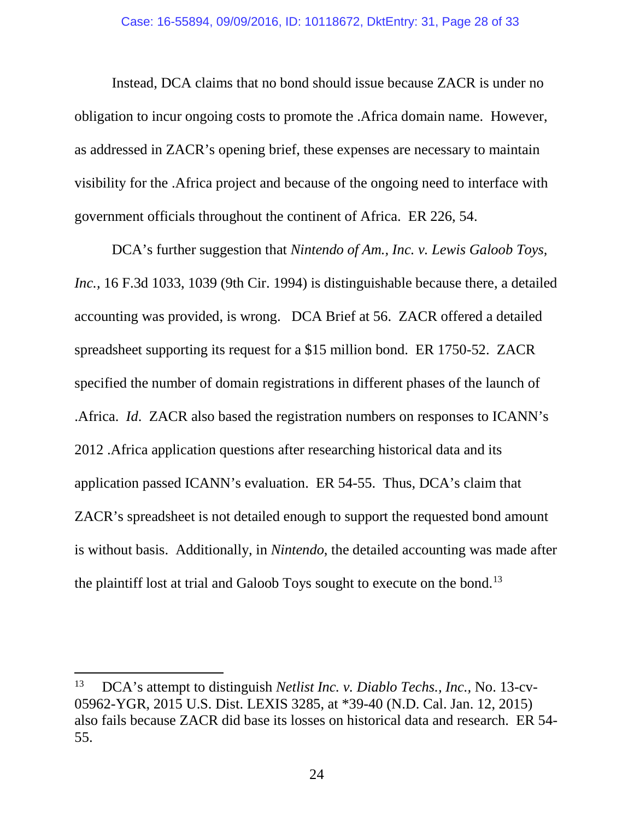#### Case: 16-55894, 09/09/2016, ID: 10118672, DktEntry: 31, Page 28 of 33

Instead, DCA claims that no bond should issue because ZACR is under no obligation to incur ongoing costs to promote the .Africa domain name. However, as addressed in ZACR's opening brief, these expenses are necessary to maintain visibility for the .Africa project and because of the ongoing need to interface with government officials throughout the continent of Africa. ER 226, 54.

DCA's further suggestion that *Nintendo of Am., Inc. v. Lewis Galoob Toys, Inc.,* 16 F.3d 1033, 1039 (9th Cir. 1994) is distinguishable because there, a detailed accounting was provided, is wrong. DCA Brief at 56. ZACR offered a detailed spreadsheet supporting its request for a \$15 million bond. ER 1750-52. ZACR specified the number of domain registrations in different phases of the launch of .Africa. *Id*. ZACR also based the registration numbers on responses to ICANN's 2012 .Africa application questions after researching historical data and its application passed ICANN's evaluation. ER 54-55. Thus, DCA's claim that ZACR's spreadsheet is not detailed enough to support the requested bond amount is without basis. Additionally, in *Nintendo*, the detailed accounting was made after the plaintiff lost at trial and Galoob Toys sought to execute on the bond.<sup>[13](#page-29-1)</sup>

 $\overline{\phantom{a}}$ 

<sup>13</sup> DCA's attempt to distinguish *Netlist Inc. v. Diablo Techs., Inc.,* No. 13-cv-05962-YGR, 2015 U.S. Dist. LEXIS 3285, at \*39-40 (N.D. Cal. Jan. 12, 2015) also fails because ZACR did base its losses on historical data and research. ER 54- 55.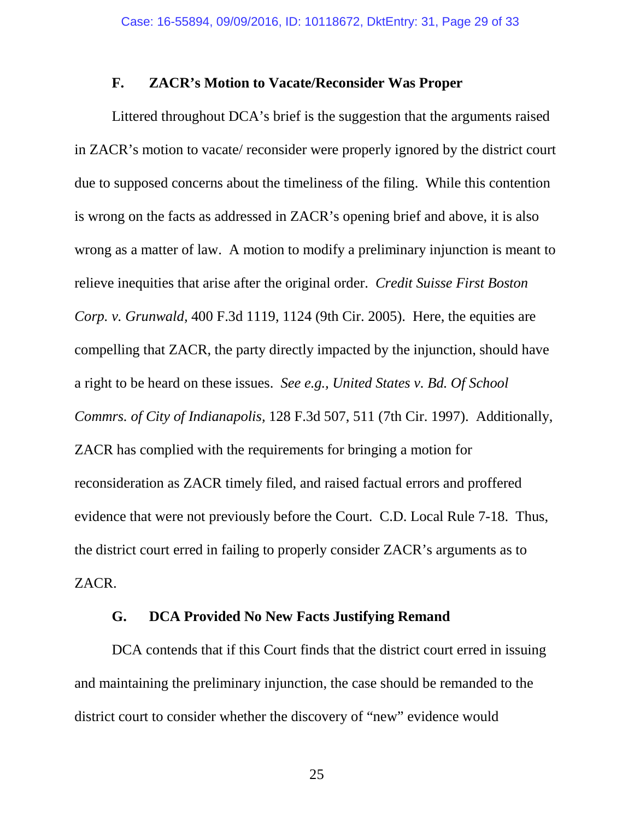#### **F. ZACR's Motion to Vacate/Reconsider Was Proper**

<span id="page-28-0"></span>Littered throughout DCA's brief is the suggestion that the arguments raised in ZACR's motion to vacate/ reconsider were properly ignored by the district court due to supposed concerns about the timeliness of the filing. While this contention is wrong on the facts as addressed in ZACR's opening brief and above, it is also wrong as a matter of law. A motion to modify a preliminary injunction is meant to relieve inequities that arise after the original order. *Credit Suisse First Boston Corp. v. Grunwald,* 400 F.3d 1119, 1124 (9th Cir. 2005). Here, the equities are compelling that ZACR, the party directly impacted by the injunction, should have a right to be heard on these issues. *See e.g., United States v. Bd. Of School Commrs. of City of Indianapolis,* 128 F.3d 507, 511 (7th Cir. 1997). Additionally, ZACR has complied with the requirements for bringing a motion for reconsideration as ZACR timely filed, and raised factual errors and proffered evidence that were not previously before the Court. C.D. Local Rule 7-18. Thus, the district court erred in failing to properly consider ZACR's arguments as to ZACR.

#### **G. DCA Provided No New Facts Justifying Remand**

<span id="page-28-1"></span>DCA contends that if this Court finds that the district court erred in issuing and maintaining the preliminary injunction, the case should be remanded to the district court to consider whether the discovery of "new" evidence would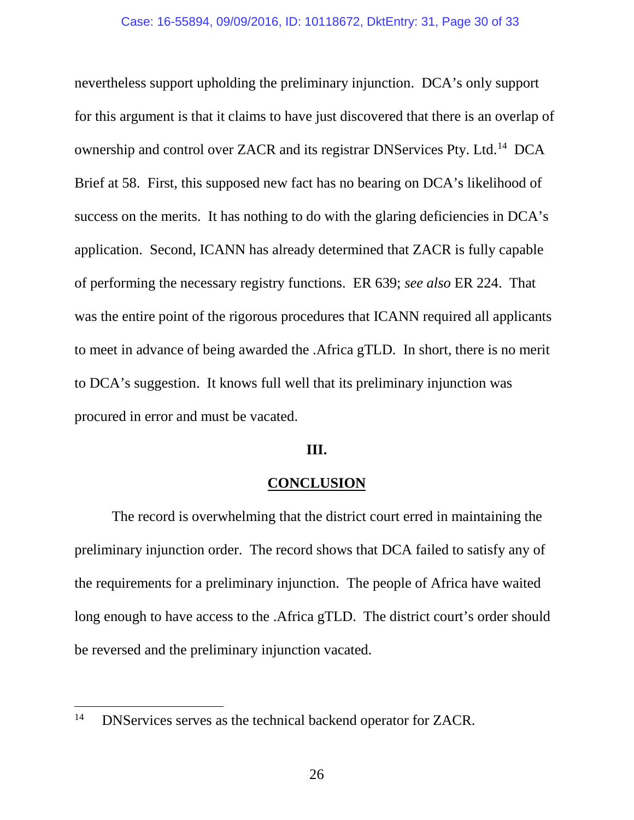nevertheless support upholding the preliminary injunction. DCA's only support for this argument is that it claims to have just discovered that there is an overlap of ownership and control over ZACR and its registrar DNServices Pty. Ltd.[14](#page-30-0) DCA Brief at 58. First, this supposed new fact has no bearing on DCA's likelihood of success on the merits. It has nothing to do with the glaring deficiencies in DCA's application. Second, ICANN has already determined that ZACR is fully capable of performing the necessary registry functions. ER 639; *see also* ER 224. That was the entire point of the rigorous procedures that ICANN required all applicants to meet in advance of being awarded the .Africa gTLD. In short, there is no merit to DCA's suggestion. It knows full well that its preliminary injunction was procured in error and must be vacated.

#### **III.**

## **CONCLUSION**

<span id="page-29-0"></span>The record is overwhelming that the district court erred in maintaining the preliminary injunction order. The record shows that DCA failed to satisfy any of the requirements for a preliminary injunction. The people of Africa have waited long enough to have access to the .Africa gTLD. The district court's order should be reversed and the preliminary injunction vacated.

<span id="page-29-1"></span><sup>&</sup>lt;sup>14</sup> DNServices serves as the technical backend operator for ZACR.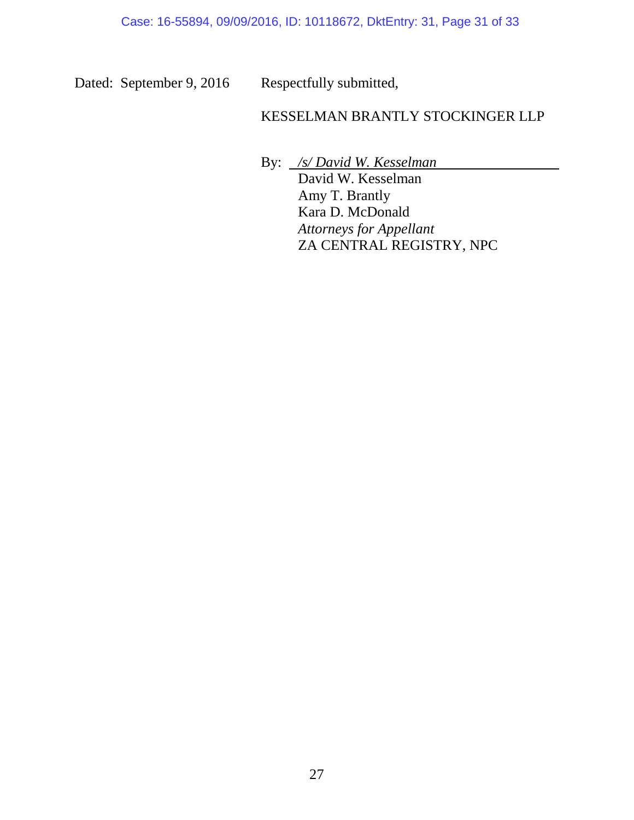Dated: September 9, 2016 Respectfully submitted,

## KESSELMAN BRANTLY STOCKINGER LLP

<span id="page-30-0"></span>By: */s/ David W. Kesselman* David W. Kesselman Amy T. Brantly Kara D. McDonald *Attorneys for Appellant* ZA CENTRAL REGISTRY, NPC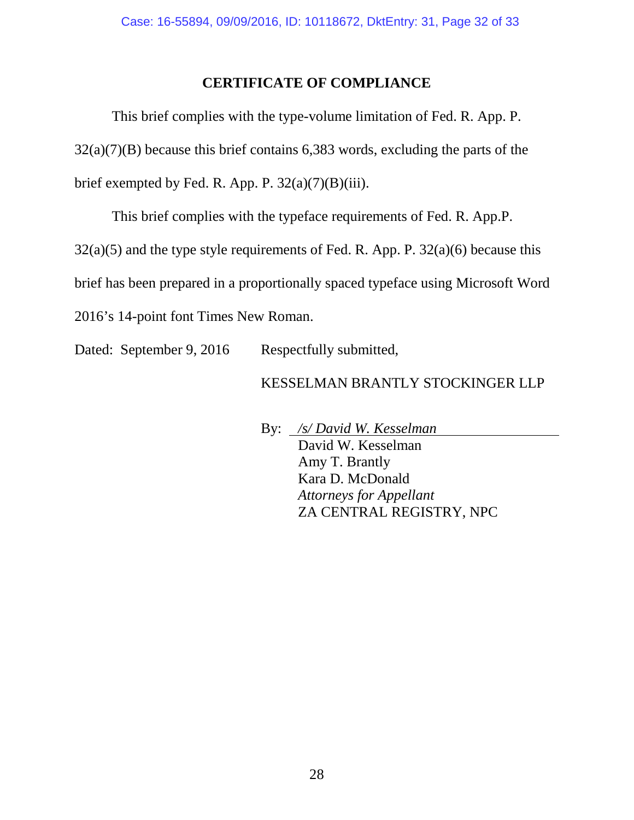## **CERTIFICATE OF COMPLIANCE**

<span id="page-31-0"></span>This brief complies with the type-volume limitation of Fed. R. App. P. 32(a)(7)(B) because this brief contains 6,383 words, excluding the parts of the brief exempted by Fed. R. App. P.  $32(a)(7)(B)(iii)$ .

This brief complies with the typeface requirements of Fed. R. App.P.

 $32(a)(5)$  and the type style requirements of Fed. R. App. P.  $32(a)(6)$  because this

brief has been prepared in a proportionally spaced typeface using Microsoft Word

2016's 14-point font Times New Roman.

Dated: September 9, 2016 Respectfully submitted,

## KESSELMAN BRANTLY STOCKINGER LLP

By: */s/ David W. Kesselman* David W. Kesselman Amy T. Brantly Kara D. McDonald *Attorneys for Appellant* ZA CENTRAL REGISTRY, NPC